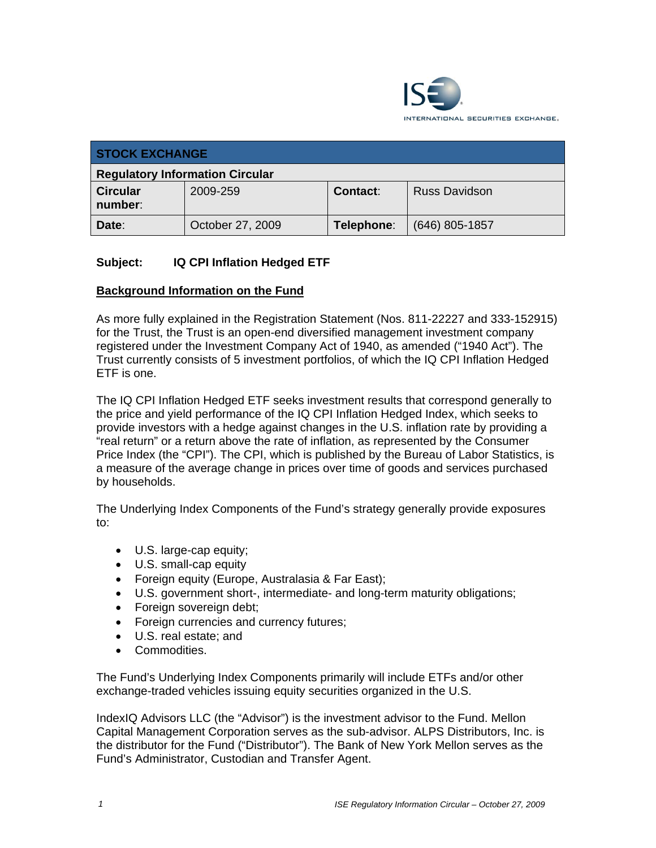

| <b>STOCK EXCHANGE</b>                  |                  |                 |                      |  |
|----------------------------------------|------------------|-----------------|----------------------|--|
| <b>Regulatory Information Circular</b> |                  |                 |                      |  |
| <b>Circular</b><br>number:             | 2009-259         | <b>Contact:</b> | <b>Russ Davidson</b> |  |
| Date:                                  | October 27, 2009 | Telephone:      | $(646)$ 805-1857     |  |

# **Subject: IQ CPI Inflation Hedged ETF**

# **Background Information on the Fund**

As more fully explained in the Registration Statement (Nos. 811-22227 and 333-152915) for the Trust, the Trust is an open-end diversified management investment company registered under the Investment Company Act of 1940, as amended ("1940 Act"). The Trust currently consists of 5 investment portfolios, of which the IQ CPI Inflation Hedged ETF is one.

The IQ CPI Inflation Hedged ETF seeks investment results that correspond generally to the price and yield performance of the IQ CPI Inflation Hedged Index, which seeks to provide investors with a hedge against changes in the U.S. inflation rate by providing a "real return" or a return above the rate of inflation, as represented by the Consumer Price Index (the "CPI"). The CPI, which is published by the Bureau of Labor Statistics, is a measure of the average change in prices over time of goods and services purchased by households.

The Underlying Index Components of the Fund's strategy generally provide exposures to:

- U.S. large-cap equity;
- U.S. small-cap equity
- Foreign equity (Europe, Australasia & Far East);
- U.S. government short-, intermediate- and long-term maturity obligations;
- Foreign sovereign debt;
- Foreign currencies and currency futures;
- U.S. real estate; and
- Commodities.

The Fund's Underlying Index Components primarily will include ETFs and/or other exchange-traded vehicles issuing equity securities organized in the U.S.

IndexIQ Advisors LLC (the "Advisor") is the investment advisor to the Fund. Mellon Capital Management Corporation serves as the sub-advisor. ALPS Distributors, Inc. is the distributor for the Fund ("Distributor"). The Bank of New York Mellon serves as the Fund's Administrator, Custodian and Transfer Agent.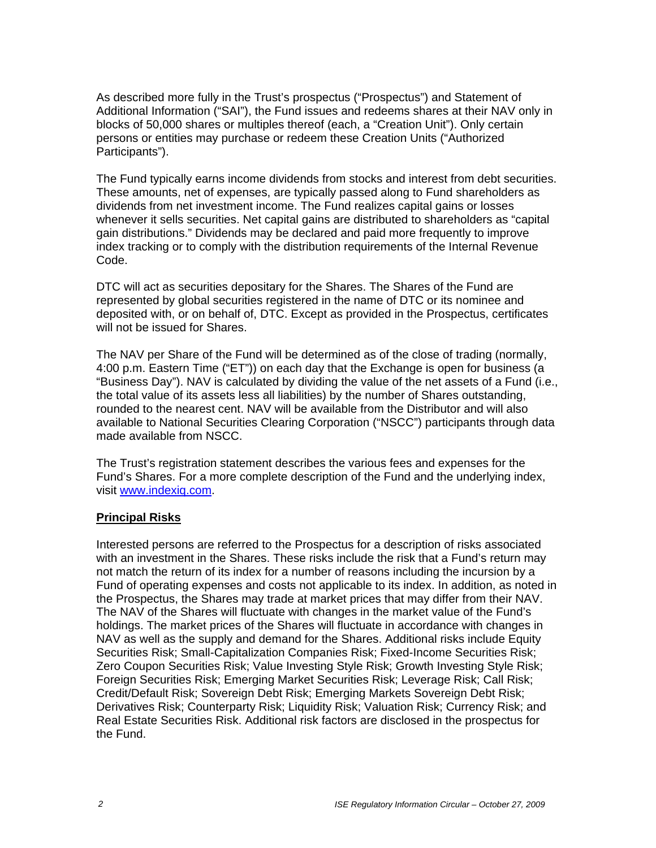As described more fully in the Trust's prospectus ("Prospectus") and Statement of Additional Information ("SAI"), the Fund issues and redeems shares at their NAV only in blocks of 50,000 shares or multiples thereof (each, a "Creation Unit"). Only certain persons or entities may purchase or redeem these Creation Units ("Authorized Participants").

The Fund typically earns income dividends from stocks and interest from debt securities. These amounts, net of expenses, are typically passed along to Fund shareholders as dividends from net investment income. The Fund realizes capital gains or losses whenever it sells securities. Net capital gains are distributed to shareholders as "capital gain distributions." Dividends may be declared and paid more frequently to improve index tracking or to comply with the distribution requirements of the Internal Revenue Code.

DTC will act as securities depositary for the Shares. The Shares of the Fund are represented by global securities registered in the name of DTC or its nominee and deposited with, or on behalf of, DTC. Except as provided in the Prospectus, certificates will not be issued for Shares.

The NAV per Share of the Fund will be determined as of the close of trading (normally, 4:00 p.m. Eastern Time ("ET")) on each day that the Exchange is open for business (a "Business Day"). NAV is calculated by dividing the value of the net assets of a Fund (i.e., the total value of its assets less all liabilities) by the number of Shares outstanding, rounded to the nearest cent. NAV will be available from the Distributor and will also available to National Securities Clearing Corporation ("NSCC") participants through data made available from NSCC.

The Trust's registration statement describes the various fees and expenses for the Fund's Shares. For a more complete description of the Fund and the underlying index, visit www.indexiq.com.

## **Principal Risks**

Interested persons are referred to the Prospectus for a description of risks associated with an investment in the Shares. These risks include the risk that a Fund's return may not match the return of its index for a number of reasons including the incursion by a Fund of operating expenses and costs not applicable to its index. In addition, as noted in the Prospectus, the Shares may trade at market prices that may differ from their NAV. The NAV of the Shares will fluctuate with changes in the market value of the Fund's holdings. The market prices of the Shares will fluctuate in accordance with changes in NAV as well as the supply and demand for the Shares. Additional risks include Equity Securities Risk; Small-Capitalization Companies Risk; Fixed-Income Securities Risk; Zero Coupon Securities Risk; Value Investing Style Risk; Growth Investing Style Risk; Foreign Securities Risk; Emerging Market Securities Risk; Leverage Risk; Call Risk; Credit/Default Risk; Sovereign Debt Risk; Emerging Markets Sovereign Debt Risk; Derivatives Risk; Counterparty Risk; Liquidity Risk; Valuation Risk; Currency Risk; and Real Estate Securities Risk. Additional risk factors are disclosed in the prospectus for the Fund.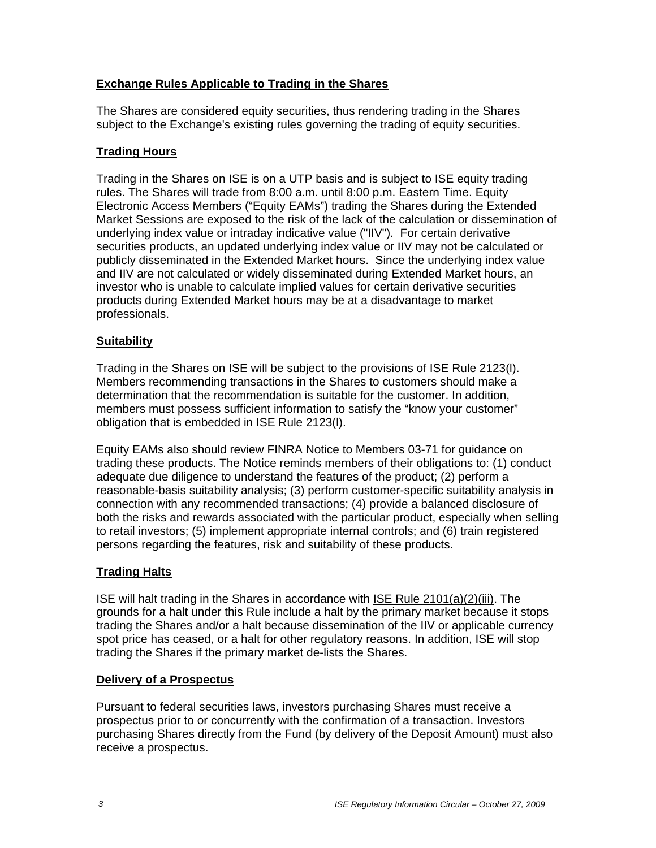# **Exchange Rules Applicable to Trading in the Shares**

The Shares are considered equity securities, thus rendering trading in the Shares subject to the Exchange's existing rules governing the trading of equity securities.

## **Trading Hours**

Trading in the Shares on ISE is on a UTP basis and is subject to ISE equity trading rules. The Shares will trade from 8:00 a.m. until 8:00 p.m. Eastern Time. Equity Electronic Access Members ("Equity EAMs") trading the Shares during the Extended Market Sessions are exposed to the risk of the lack of the calculation or dissemination of underlying index value or intraday indicative value ("IIV"). For certain derivative securities products, an updated underlying index value or IIV may not be calculated or publicly disseminated in the Extended Market hours. Since the underlying index value and IIV are not calculated or widely disseminated during Extended Market hours, an investor who is unable to calculate implied values for certain derivative securities products during Extended Market hours may be at a disadvantage to market professionals.

# **Suitability**

Trading in the Shares on ISE will be subject to the provisions of ISE Rule 2123(l). Members recommending transactions in the Shares to customers should make a determination that the recommendation is suitable for the customer. In addition, members must possess sufficient information to satisfy the "know your customer" obligation that is embedded in ISE Rule 2123(l).

Equity EAMs also should review FINRA Notice to Members 03-71 for guidance on trading these products. The Notice reminds members of their obligations to: (1) conduct adequate due diligence to understand the features of the product; (2) perform a reasonable-basis suitability analysis; (3) perform customer-specific suitability analysis in connection with any recommended transactions; (4) provide a balanced disclosure of both the risks and rewards associated with the particular product, especially when selling to retail investors; (5) implement appropriate internal controls; and (6) train registered persons regarding the features, risk and suitability of these products.

## **Trading Halts**

ISE will halt trading in the Shares in accordance with ISE Rule 2101(a)(2)(iii). The grounds for a halt under this Rule include a halt by the primary market because it stops trading the Shares and/or a halt because dissemination of the IIV or applicable currency spot price has ceased, or a halt for other regulatory reasons. In addition, ISE will stop trading the Shares if the primary market de-lists the Shares.

## **Delivery of a Prospectus**

Pursuant to federal securities laws, investors purchasing Shares must receive a prospectus prior to or concurrently with the confirmation of a transaction. Investors purchasing Shares directly from the Fund (by delivery of the Deposit Amount) must also receive a prospectus.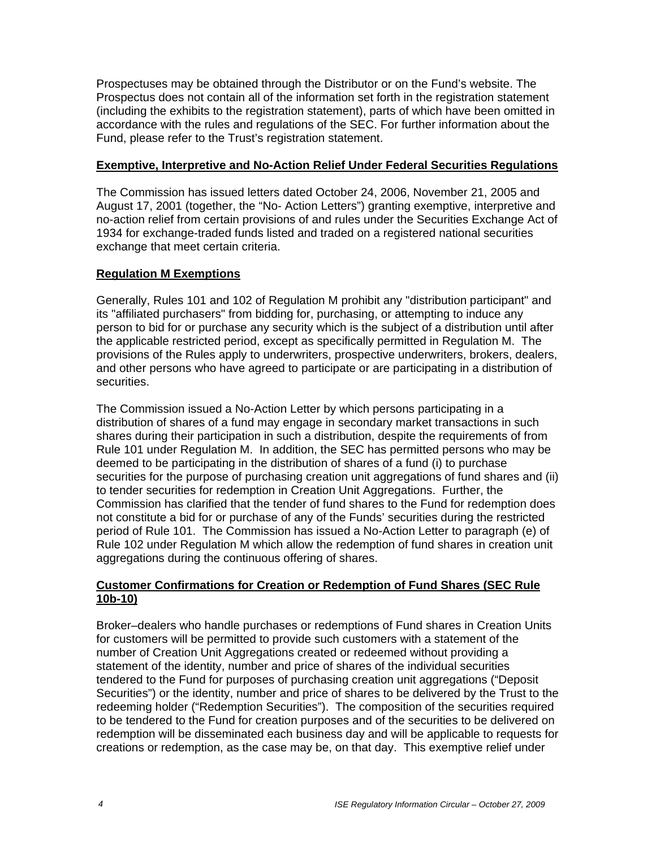Prospectuses may be obtained through the Distributor or on the Fund's website. The Prospectus does not contain all of the information set forth in the registration statement (including the exhibits to the registration statement), parts of which have been omitted in accordance with the rules and regulations of the SEC. For further information about the Fund, please refer to the Trust's registration statement.

#### **Exemptive, Interpretive and No-Action Relief Under Federal Securities Regulations**

The Commission has issued letters dated October 24, 2006, November 21, 2005 and August 17, 2001 (together, the "No- Action Letters") granting exemptive, interpretive and no-action relief from certain provisions of and rules under the Securities Exchange Act of 1934 for exchange-traded funds listed and traded on a registered national securities exchange that meet certain criteria.

## **Regulation M Exemptions**

Generally, Rules 101 and 102 of Regulation M prohibit any "distribution participant" and its "affiliated purchasers" from bidding for, purchasing, or attempting to induce any person to bid for or purchase any security which is the subject of a distribution until after the applicable restricted period, except as specifically permitted in Regulation M. The provisions of the Rules apply to underwriters, prospective underwriters, brokers, dealers, and other persons who have agreed to participate or are participating in a distribution of securities.

The Commission issued a No-Action Letter by which persons participating in a distribution of shares of a fund may engage in secondary market transactions in such shares during their participation in such a distribution, despite the requirements of from Rule 101 under Regulation M. In addition, the SEC has permitted persons who may be deemed to be participating in the distribution of shares of a fund (i) to purchase securities for the purpose of purchasing creation unit aggregations of fund shares and (ii) to tender securities for redemption in Creation Unit Aggregations. Further, the Commission has clarified that the tender of fund shares to the Fund for redemption does not constitute a bid for or purchase of any of the Funds' securities during the restricted period of Rule 101. The Commission has issued a No-Action Letter to paragraph (e) of Rule 102 under Regulation M which allow the redemption of fund shares in creation unit aggregations during the continuous offering of shares.

## **Customer Confirmations for Creation or Redemption of Fund Shares (SEC Rule 10b-10)**

Broker–dealers who handle purchases or redemptions of Fund shares in Creation Units for customers will be permitted to provide such customers with a statement of the number of Creation Unit Aggregations created or redeemed without providing a statement of the identity, number and price of shares of the individual securities tendered to the Fund for purposes of purchasing creation unit aggregations ("Deposit Securities") or the identity, number and price of shares to be delivered by the Trust to the redeeming holder ("Redemption Securities"). The composition of the securities required to be tendered to the Fund for creation purposes and of the securities to be delivered on redemption will be disseminated each business day and will be applicable to requests for creations or redemption, as the case may be, on that day. This exemptive relief under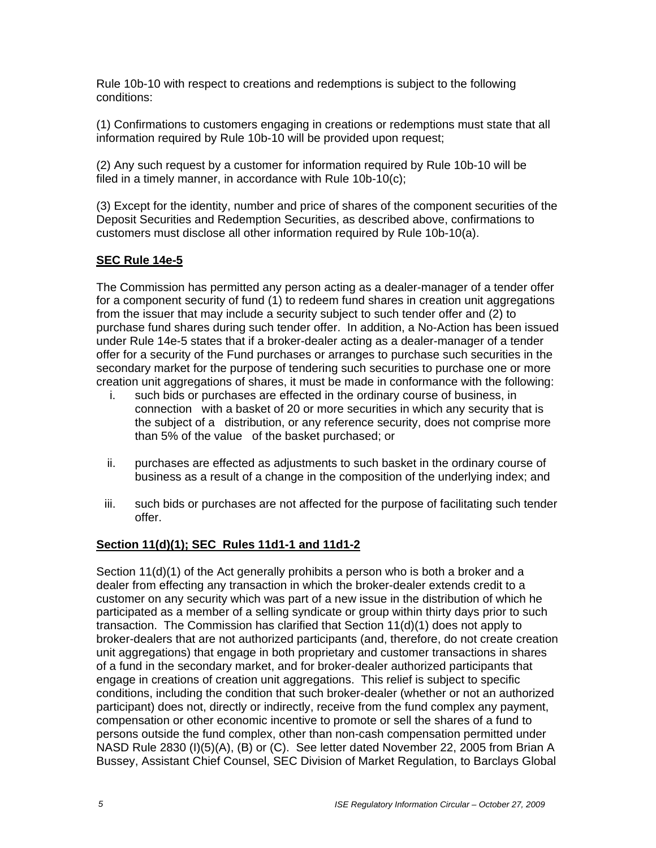Rule 10b-10 with respect to creations and redemptions is subject to the following conditions:

(1) Confirmations to customers engaging in creations or redemptions must state that all information required by Rule 10b-10 will be provided upon request;

(2) Any such request by a customer for information required by Rule 10b-10 will be filed in a timely manner, in accordance with Rule 10b-10(c);

(3) Except for the identity, number and price of shares of the component securities of the Deposit Securities and Redemption Securities, as described above, confirmations to customers must disclose all other information required by Rule 10b-10(a).

# **SEC Rule 14e-5**

The Commission has permitted any person acting as a dealer-manager of a tender offer for a component security of fund (1) to redeem fund shares in creation unit aggregations from the issuer that may include a security subject to such tender offer and (2) to purchase fund shares during such tender offer. In addition, a No-Action has been issued under Rule 14e-5 states that if a broker-dealer acting as a dealer-manager of a tender offer for a security of the Fund purchases or arranges to purchase such securities in the secondary market for the purpose of tendering such securities to purchase one or more creation unit aggregations of shares, it must be made in conformance with the following:

- i. such bids or purchases are effected in the ordinary course of business, in connection with a basket of 20 or more securities in which any security that is the subject of a distribution, or any reference security, does not comprise more than 5% of the value of the basket purchased; or
- ii. purchases are effected as adjustments to such basket in the ordinary course of business as a result of a change in the composition of the underlying index; and
- iii. such bids or purchases are not affected for the purpose of facilitating such tender offer.

# **Section 11(d)(1); SEC Rules 11d1-1 and 11d1-2**

Section 11(d)(1) of the Act generally prohibits a person who is both a broker and a dealer from effecting any transaction in which the broker-dealer extends credit to a customer on any security which was part of a new issue in the distribution of which he participated as a member of a selling syndicate or group within thirty days prior to such transaction. The Commission has clarified that Section 11(d)(1) does not apply to broker-dealers that are not authorized participants (and, therefore, do not create creation unit aggregations) that engage in both proprietary and customer transactions in shares of a fund in the secondary market, and for broker-dealer authorized participants that engage in creations of creation unit aggregations. This relief is subject to specific conditions, including the condition that such broker-dealer (whether or not an authorized participant) does not, directly or indirectly, receive from the fund complex any payment, compensation or other economic incentive to promote or sell the shares of a fund to persons outside the fund complex, other than non-cash compensation permitted under NASD Rule 2830 (I)(5)(A), (B) or (C). See letter dated November 22, 2005 from Brian A Bussey, Assistant Chief Counsel, SEC Division of Market Regulation, to Barclays Global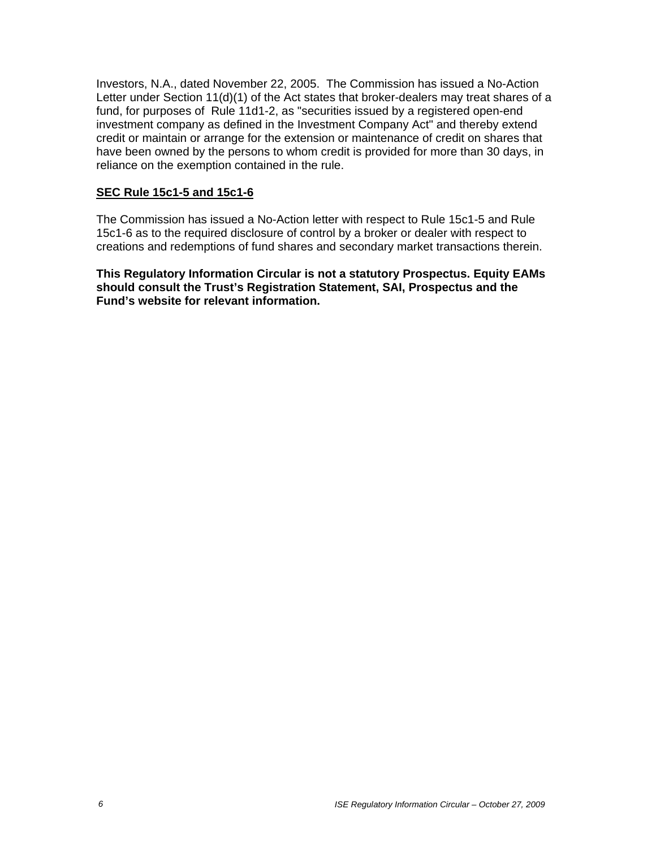Investors, N.A., dated November 22, 2005. The Commission has issued a No-Action Letter under Section 11(d)(1) of the Act states that broker-dealers may treat shares of a fund, for purposes of Rule 11d1-2, as "securities issued by a registered open-end investment company as defined in the Investment Company Act" and thereby extend credit or maintain or arrange for the extension or maintenance of credit on shares that have been owned by the persons to whom credit is provided for more than 30 days, in reliance on the exemption contained in the rule.

#### **SEC Rule 15c1-5 and 15c1-6**

The Commission has issued a No-Action letter with respect to Rule 15c1-5 and Rule 15c1-6 as to the required disclosure of control by a broker or dealer with respect to creations and redemptions of fund shares and secondary market transactions therein.

**This Regulatory Information Circular is not a statutory Prospectus. Equity EAMs should consult the Trust's Registration Statement, SAI, Prospectus and the Fund's website for relevant information.**